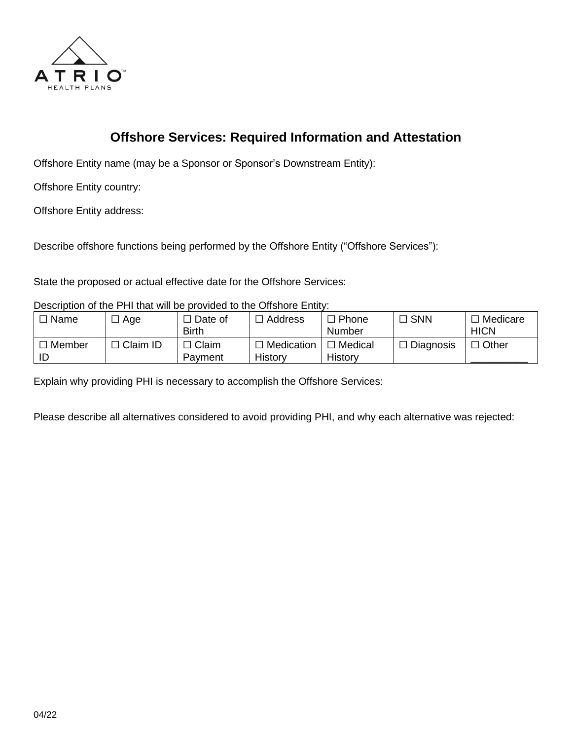

## **Offshore Services: Required Information and Attestation**

Offshore Entity name (may be a Sponsor or Sponsor's Downstream Entity):

Offshore Entity country:

Offshore Entity address:

Describe offshore functions being performed by the Offshore Entity ("Offshore Services"):

State the proposed or actual effective date for the Offshore Services:

Description of the PHI that will be provided to the Offshore Entity:

| □ Name | Age        | J Date of<br><b>Birth</b>     | l Address                    | Phone<br>Number    | $\Box$ SNN       | Medicare<br><b>HICN</b> |
|--------|------------|-------------------------------|------------------------------|--------------------|------------------|-------------------------|
| Member | コ Claim ID | <sup>'</sup> Claim<br>Payment | $\Box$ Medication<br>History | Medical<br>History | $\Box$ Diagnosis | <b>Other</b>            |

Explain why providing PHI is necessary to accomplish the Offshore Services:

Please describe all alternatives considered to avoid providing PHI, and why each alternative was rejected: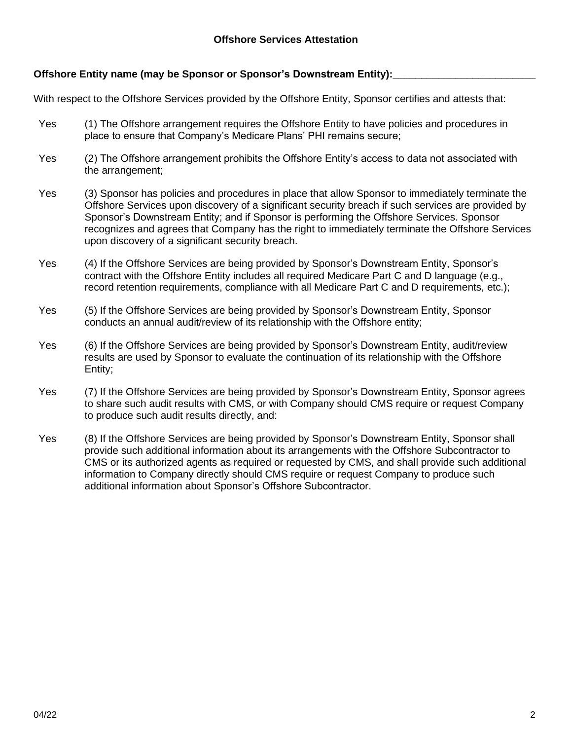## **Offshore Entity name (may be Sponsor or Sponsor's Downstream Entity):\_\_\_\_\_\_\_\_\_\_\_\_\_\_\_\_\_\_\_\_\_\_\_\_\_**

With respect to the Offshore Services provided by the Offshore Entity, Sponsor certifies and attests that:

- Yes (1) The Offshore arrangement requires the Offshore Entity to have policies and procedures in place to ensure that Company's Medicare Plans' PHI remains secure;
- Yes (2) The Offshore arrangement prohibits the Offshore Entity's access to data not associated with the arrangement;
- Yes (3) Sponsor has policies and procedures in place that allow Sponsor to immediately terminate the Offshore Services upon discovery of a significant security breach if such services are provided by Sponsor's Downstream Entity; and if Sponsor is performing the Offshore Services. Sponsor recognizes and agrees that Company has the right to immediately terminate the Offshore Services upon discovery of a significant security breach.
- Yes (4) If the Offshore Services are being provided by Sponsor's Downstream Entity, Sponsor's contract with the Offshore Entity includes all required Medicare Part C and D language (e.g., record retention requirements, compliance with all Medicare Part C and D requirements, etc.);
- Yes (5) If the Offshore Services are being provided by Sponsor's Downstream Entity, Sponsor conducts an annual audit/review of its relationship with the Offshore entity;
- Yes (6) If the Offshore Services are being provided by Sponsor's Downstream Entity, audit/review results are used by Sponsor to evaluate the continuation of its relationship with the Offshore Entity;
- Yes (7) If the Offshore Services are being provided by Sponsor's Downstream Entity, Sponsor agrees to share such audit results with CMS, or with Company should CMS require or request Company to produce such audit results directly, and:
- Yes (8) If the Offshore Services are being provided by Sponsor's Downstream Entity, Sponsor shall provide such additional information about its arrangements with the Offshore Subcontractor to CMS or its authorized agents as required or requested by CMS, and shall provide such additional information to Company directly should CMS require or request Company to produce such additional information about Sponsor's Offshore Subcontractor.